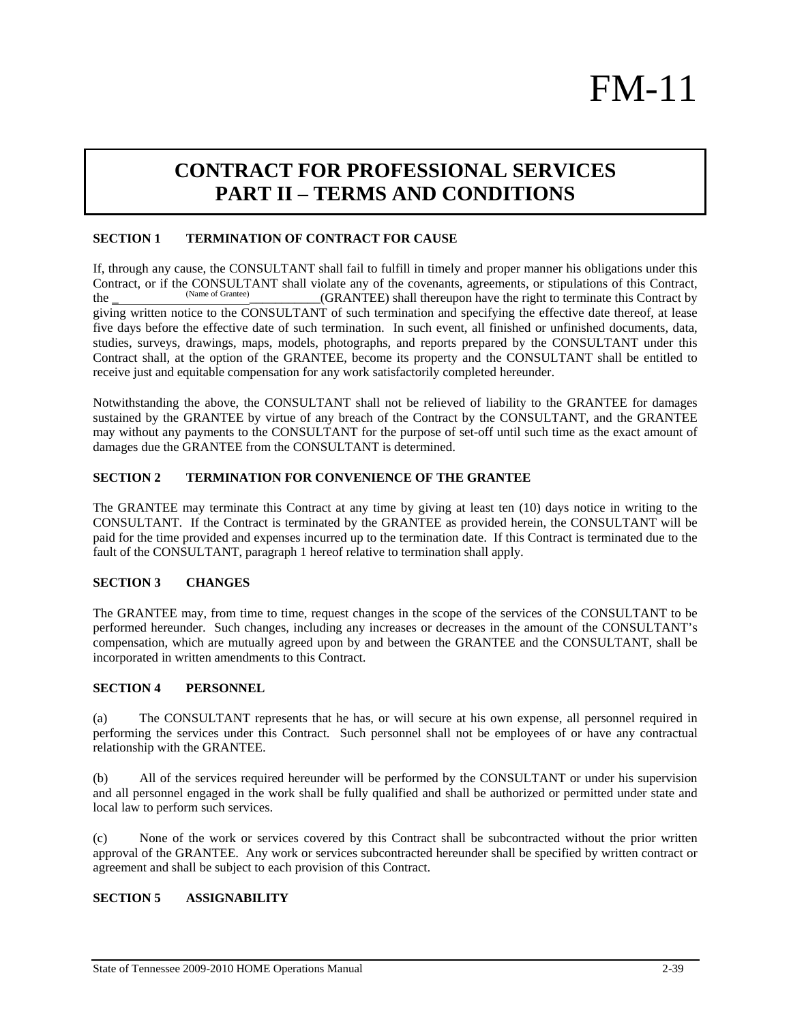# FM-11

# **CONTRACT FOR PROFESSIONAL SERVICES PART II – TERMS AND CONDITIONS**

# **SECTION 1 TERMINATION OF CONTRACT FOR CAUSE**

If, through any cause, the CONSULTANT shall fail to fulfill in timely and proper manner his obligations under this Contract, or if the CONSULTANT shall violate any of the covenants, agreements, or stipulations of this Contract, the Contract,  $(CBA \text{ NTEE})$  shall the covenant by the right to terminate this Contract by the (Name of Grantee) (GRANTEE) shall thereupon have the right to terminate this Contract by giving written notice to the CONSULTANT of such termination and specifying the effective date thereof, at lease five days before the effective date of such termination. In such event, all finished or unfinished documents, data, studies, surveys, drawings, maps, models, photographs, and reports prepared by the CONSULTANT under this Contract shall, at the option of the GRANTEE, become its property and the CONSULTANT shall be entitled to receive just and equitable compensation for any work satisfactorily completed hereunder.

Notwithstanding the above, the CONSULTANT shall not be relieved of liability to the GRANTEE for damages sustained by the GRANTEE by virtue of any breach of the Contract by the CONSULTANT, and the GRANTEE may without any payments to the CONSULTANT for the purpose of set-off until such time as the exact amount of damages due the GRANTEE from the CONSULTANT is determined.

#### **SECTION 2 TERMINATION FOR CONVENIENCE OF THE GRANTEE**

The GRANTEE may terminate this Contract at any time by giving at least ten (10) days notice in writing to the CONSULTANT. If the Contract is terminated by the GRANTEE as provided herein, the CONSULTANT will be paid for the time provided and expenses incurred up to the termination date. If this Contract is terminated due to the fault of the CONSULTANT, paragraph 1 hereof relative to termination shall apply.

#### **SECTION 3 CHANGES**

The GRANTEE may, from time to time, request changes in the scope of the services of the CONSULTANT to be performed hereunder. Such changes, including any increases or decreases in the amount of the CONSULTANT's compensation, which are mutually agreed upon by and between the GRANTEE and the CONSULTANT, shall be incorporated in written amendments to this Contract.

#### **SECTION 4 PERSONNEL**

(a) The CONSULTANT represents that he has, or will secure at his own expense, all personnel required in performing the services under this Contract. Such personnel shall not be employees of or have any contractual relationship with the GRANTEE.

(b) All of the services required hereunder will be performed by the CONSULTANT or under his supervision and all personnel engaged in the work shall be fully qualified and shall be authorized or permitted under state and local law to perform such services.

(c) None of the work or services covered by this Contract shall be subcontracted without the prior written approval of the GRANTEE. Any work or services subcontracted hereunder shall be specified by written contract or agreement and shall be subject to each provision of this Contract.

# **SECTION 5 ASSIGNABILITY**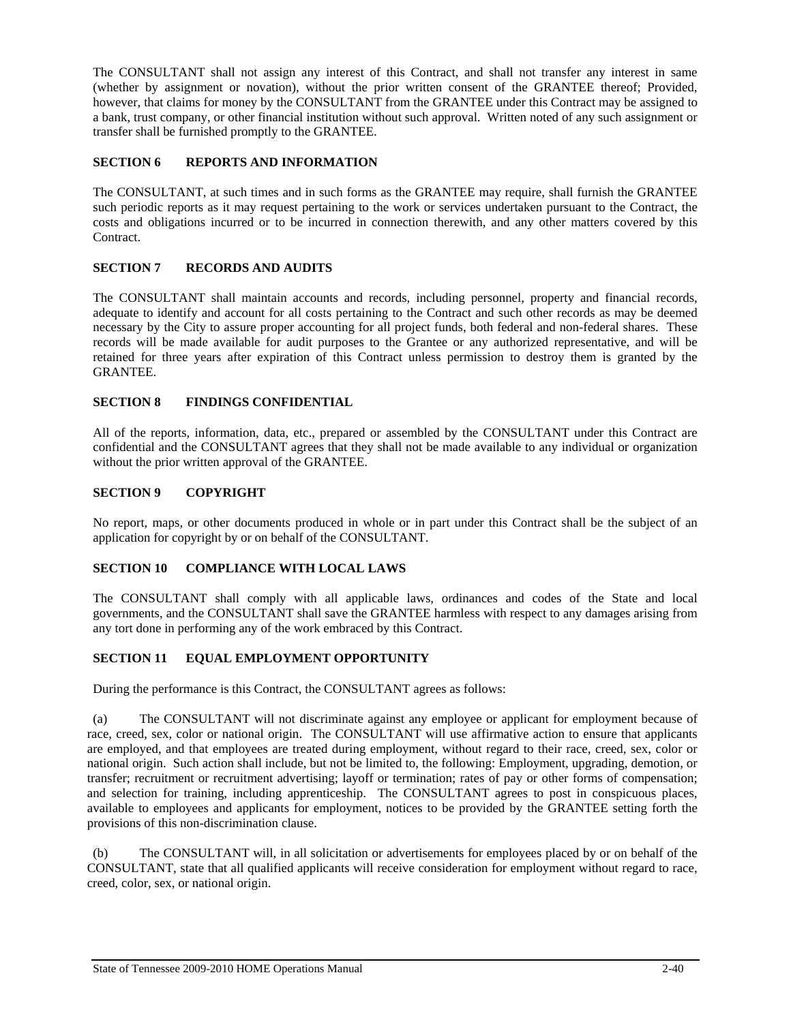The CONSULTANT shall not assign any interest of this Contract, and shall not transfer any interest in same (whether by assignment or novation), without the prior written consent of the GRANTEE thereof; Provided, however, that claims for money by the CONSULTANT from the GRANTEE under this Contract may be assigned to a bank, trust company, or other financial institution without such approval. Written noted of any such assignment or transfer shall be furnished promptly to the GRANTEE.

# **SECTION 6 REPORTS AND INFORMATION**

The CONSULTANT, at such times and in such forms as the GRANTEE may require, shall furnish the GRANTEE such periodic reports as it may request pertaining to the work or services undertaken pursuant to the Contract, the costs and obligations incurred or to be incurred in connection therewith, and any other matters covered by this Contract.

# **SECTION 7 RECORDS AND AUDITS**

The CONSULTANT shall maintain accounts and records, including personnel, property and financial records, adequate to identify and account for all costs pertaining to the Contract and such other records as may be deemed necessary by the City to assure proper accounting for all project funds, both federal and non-federal shares. These records will be made available for audit purposes to the Grantee or any authorized representative, and will be retained for three years after expiration of this Contract unless permission to destroy them is granted by the GRANTEE.

# **SECTION 8 FINDINGS CONFIDENTIAL**

All of the reports, information, data, etc., prepared or assembled by the CONSULTANT under this Contract are confidential and the CONSULTANT agrees that they shall not be made available to any individual or organization without the prior written approval of the GRANTEE.

# **SECTION 9 COPYRIGHT**

No report, maps, or other documents produced in whole or in part under this Contract shall be the subject of an application for copyright by or on behalf of the CONSULTANT.

#### **SECTION 10 COMPLIANCE WITH LOCAL LAWS**

The CONSULTANT shall comply with all applicable laws, ordinances and codes of the State and local governments, and the CONSULTANT shall save the GRANTEE harmless with respect to any damages arising from any tort done in performing any of the work embraced by this Contract.

#### **SECTION 11 EQUAL EMPLOYMENT OPPORTUNITY**

During the performance is this Contract, the CONSULTANT agrees as follows:

(a) The CONSULTANT will not discriminate against any employee or applicant for employment because of race, creed, sex, color or national origin. The CONSULTANT will use affirmative action to ensure that applicants are employed, and that employees are treated during employment, without regard to their race, creed, sex, color or national origin. Such action shall include, but not be limited to, the following: Employment, upgrading, demotion, or transfer; recruitment or recruitment advertising; layoff or termination; rates of pay or other forms of compensation; and selection for training, including apprenticeship. The CONSULTANT agrees to post in conspicuous places, available to employees and applicants for employment, notices to be provided by the GRANTEE setting forth the provisions of this non-discrimination clause.

(b) The CONSULTANT will, in all solicitation or advertisements for employees placed by or on behalf of the CONSULTANT, state that all qualified applicants will receive consideration for employment without regard to race, creed, color, sex, or national origin.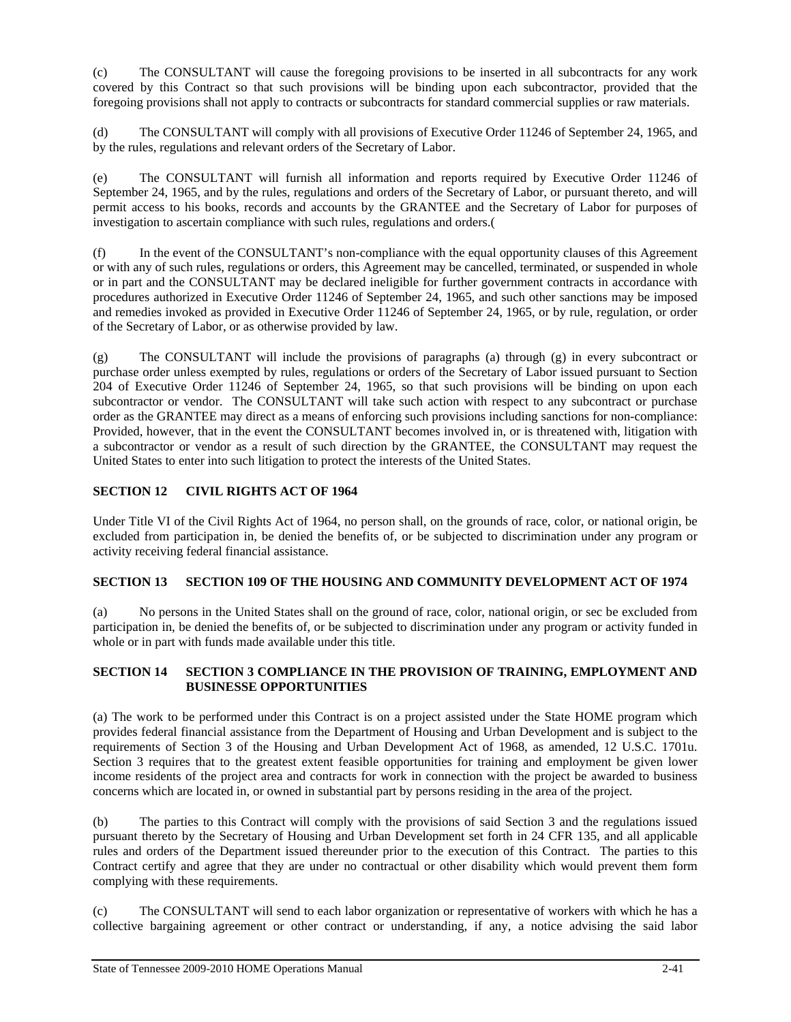(c) The CONSULTANT will cause the foregoing provisions to be inserted in all subcontracts for any work covered by this Contract so that such provisions will be binding upon each subcontractor, provided that the foregoing provisions shall not apply to contracts or subcontracts for standard commercial supplies or raw materials.

(d) The CONSULTANT will comply with all provisions of Executive Order 11246 of September 24, 1965, and by the rules, regulations and relevant orders of the Secretary of Labor.

(e) The CONSULTANT will furnish all information and reports required by Executive Order 11246 of September 24, 1965, and by the rules, regulations and orders of the Secretary of Labor, or pursuant thereto, and will permit access to his books, records and accounts by the GRANTEE and the Secretary of Labor for purposes of investigation to ascertain compliance with such rules, regulations and orders.(

(f) In the event of the CONSULTANT's non-compliance with the equal opportunity clauses of this Agreement or with any of such rules, regulations or orders, this Agreement may be cancelled, terminated, or suspended in whole or in part and the CONSULTANT may be declared ineligible for further government contracts in accordance with procedures authorized in Executive Order 11246 of September 24, 1965, and such other sanctions may be imposed and remedies invoked as provided in Executive Order 11246 of September 24, 1965, or by rule, regulation, or order of the Secretary of Labor, or as otherwise provided by law.

(g) The CONSULTANT will include the provisions of paragraphs (a) through (g) in every subcontract or purchase order unless exempted by rules, regulations or orders of the Secretary of Labor issued pursuant to Section 204 of Executive Order 11246 of September 24, 1965, so that such provisions will be binding on upon each subcontractor or vendor. The CONSULTANT will take such action with respect to any subcontract or purchase order as the GRANTEE may direct as a means of enforcing such provisions including sanctions for non-compliance: Provided, however, that in the event the CONSULTANT becomes involved in, or is threatened with, litigation with a subcontractor or vendor as a result of such direction by the GRANTEE, the CONSULTANT may request the United States to enter into such litigation to protect the interests of the United States.

# **SECTION 12 CIVIL RIGHTS ACT OF 1964**

Under Title VI of the Civil Rights Act of 1964, no person shall, on the grounds of race, color, or national origin, be excluded from participation in, be denied the benefits of, or be subjected to discrimination under any program or activity receiving federal financial assistance.

# **SECTION 13 SECTION 109 OF THE HOUSING AND COMMUNITY DEVELOPMENT ACT OF 1974**

(a) No persons in the United States shall on the ground of race, color, national origin, or sec be excluded from participation in, be denied the benefits of, or be subjected to discrimination under any program or activity funded in whole or in part with funds made available under this title.

#### **SECTION 14 SECTION 3 COMPLIANCE IN THE PROVISION OF TRAINING, EMPLOYMENT AND BUSINESSE OPPORTUNITIES**

(a) The work to be performed under this Contract is on a project assisted under the State HOME program which provides federal financial assistance from the Department of Housing and Urban Development and is subject to the requirements of Section 3 of the Housing and Urban Development Act of 1968, as amended, 12 U.S.C. 1701u. Section 3 requires that to the greatest extent feasible opportunities for training and employment be given lower income residents of the project area and contracts for work in connection with the project be awarded to business concerns which are located in, or owned in substantial part by persons residing in the area of the project.

(b) The parties to this Contract will comply with the provisions of said Section 3 and the regulations issued pursuant thereto by the Secretary of Housing and Urban Development set forth in 24 CFR 135, and all applicable rules and orders of the Department issued thereunder prior to the execution of this Contract. The parties to this Contract certify and agree that they are under no contractual or other disability which would prevent them form complying with these requirements.

(c) The CONSULTANT will send to each labor organization or representative of workers with which he has a collective bargaining agreement or other contract or understanding, if any, a notice advising the said labor